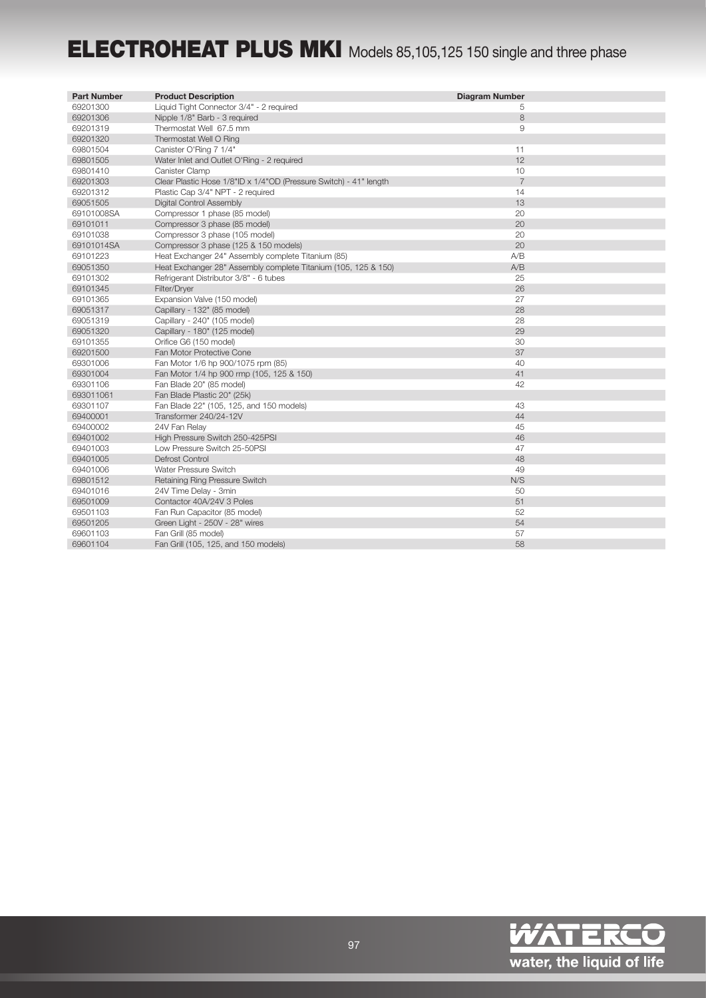## ELECTROHEAT PLUS MKI Models 85,105,125 150 single and three phase

| <b>Part Number</b> | <b>Product Description</b>                                        | <b>Diagram Number</b> |
|--------------------|-------------------------------------------------------------------|-----------------------|
| 69201300           | Liquid Tight Connector 3/4" - 2 required                          | 5                     |
| 69201306           | Nipple 1/8" Barb - 3 required                                     | 8                     |
| 69201319           | Thermostat Well 67.5 mm                                           | 9                     |
| 69201320           | Thermostat Well O Ring                                            |                       |
| 69801504           | Canister O'Ring 7 1/4"                                            | 11                    |
| 69801505           | Water Inlet and Outlet O'Ring - 2 required                        | 12                    |
| 69801410           | Canister Clamp                                                    | 10                    |
| 69201303           | Clear Plastic Hose 1/8"ID x 1/4"OD (Pressure Switch) - 41" length | $\overline{7}$        |
| 69201312           | Plastic Cap 3/4" NPT - 2 required                                 | 14                    |
| 69051505           | Digital Control Assembly                                          | 13                    |
| 69101008SA         | Compressor 1 phase (85 model)                                     | 20                    |
| 69101011           | Compressor 3 phase (85 model)                                     | 20                    |
| 69101038           | Compressor 3 phase (105 model)                                    | 20                    |
| 69101014SA         | Compressor 3 phase (125 & 150 models)                             | 20                    |
| 69101223           | Heat Exchanger 24" Assembly complete Titanium (85)                | A/B                   |
| 69051350           | Heat Exchanger 28" Assembly complete Titanium (105, 125 & 150)    | A/B                   |
| 69101302           | Refrigerant Distributor 3/8" - 6 tubes                            | 25                    |
| 69101345           | Filter/Dryer                                                      | 26                    |
| 69101365           | Expansion Valve (150 model)                                       | 27                    |
| 69051317           | Capillary - 132" (85 model)                                       | 28                    |
| 69051319           | Capillary - 240" (105 model)                                      | 28                    |
| 69051320           | Capillary - 180" (125 model)                                      | 29                    |
| 69101355           | Orifice G6 (150 model)                                            | 30                    |
| 69201500           | Fan Motor Protective Cone                                         | 37                    |
| 69301006           | Fan Motor 1/6 hp 900/1075 rpm (85)                                | 40                    |
| 69301004           | Fan Motor 1/4 hp 900 rmp (105, 125 & 150)                         | 41                    |
| 69301106           | Fan Blade 20" (85 model)                                          | 42                    |
| 693011061          | Fan Blade Plastic 20" (25k)                                       |                       |
| 69301107           | Fan Blade 22" (105, 125, and 150 models)                          | 43                    |
| 69400001           | Transformer 240/24-12V                                            | 44                    |
| 69400002           | 24V Fan Relay                                                     | 45                    |
| 69401002           | High Pressure Switch 250-425PSI                                   | 46                    |
| 69401003           | Low Pressure Switch 25-50PSI                                      | 47                    |
| 69401005           | Defrost Control                                                   | 48                    |
| 69401006           | Water Pressure Switch                                             | 49                    |
| 69801512           | Retaining Ring Pressure Switch                                    | N/S                   |
| 69401016           | 24V Time Delay - 3min                                             | 50                    |
| 69501009           | Contactor 40A/24V 3 Poles                                         | 51                    |
| 69501103           | Fan Run Capacitor (85 model)                                      | 52                    |
| 69501205           | Green Light - 250V - 28" wires                                    | 54                    |
| 69601103           | Fan Grill (85 model)                                              | 57                    |
| 69601104           | Fan Grill (105, 125, and 150 models)                              | 58                    |